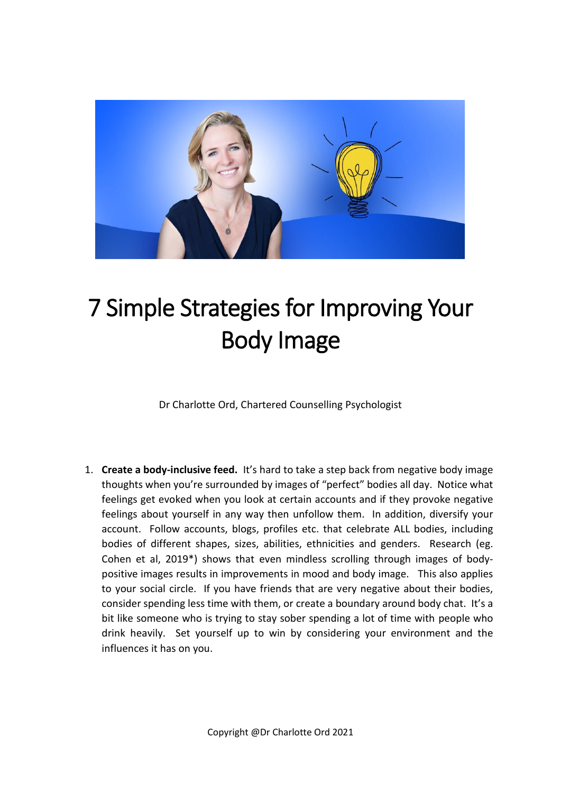

## 7 Simple Strategies for Improving Your Body Image

Dr Charlotte Ord, Chartered Counselling Psychologist

1. **Create a body-inclusive feed.** It's hard to take a step back from negative body image thoughts when you're surrounded by images of "perfect" bodies all day. Notice what feelings get evoked when you look at certain accounts and if they provoke negative feelings about yourself in any way then unfollow them. In addition, diversify your account. Follow accounts, blogs, profiles etc. that celebrate ALL bodies, including bodies of different shapes, sizes, abilities, ethnicities and genders. Research (eg. Cohen et al, 2019\*) shows that even mindless scrolling through images of bodypositive images results in improvements in mood and body image. This also applies to your social circle. If you have friends that are very negative about their bodies, consider spending less time with them, or create a boundary around body chat. It's a bit like someone who is trying to stay sober spending a lot of time with people who drink heavily. Set yourself up to win by considering your environment and the influences it has on you.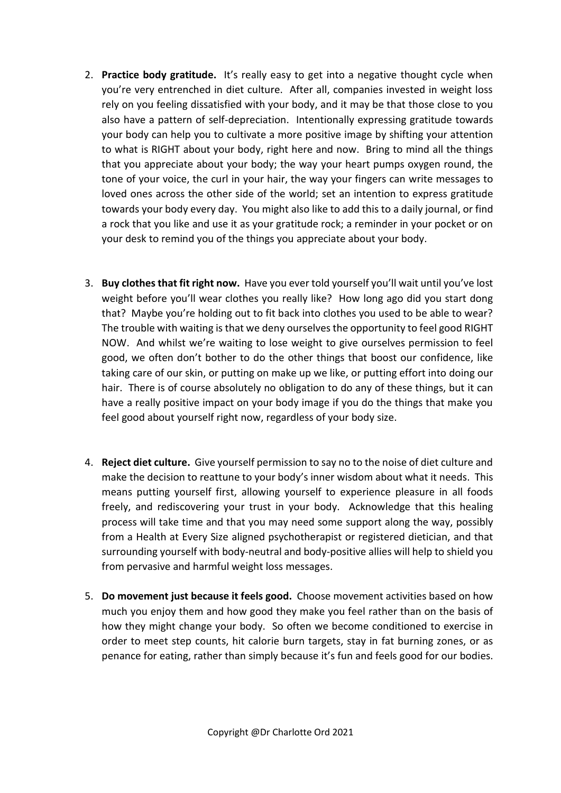- 2. **Practice body gratitude.** It's really easy to get into a negative thought cycle when you're very entrenched in diet culture. After all, companies invested in weight loss rely on you feeling dissatisfied with your body, and it may be that those close to you also have a pattern of self-depreciation. Intentionally expressing gratitude towards your body can help you to cultivate a more positive image by shifting your attention to what is RIGHT about your body, right here and now. Bring to mind all the things that you appreciate about your body; the way your heart pumps oxygen round, the tone of your voice, the curl in your hair, the way your fingers can write messages to loved ones across the other side of the world; set an intention to express gratitude towards your body every day. You might also like to add this to a daily journal, or find a rock that you like and use it as your gratitude rock; a reminder in your pocket or on your desk to remind you of the things you appreciate about your body.
- 3. **Buy clothes that fit right now.** Have you ever told yourself you'll wait until you've lost weight before you'll wear clothes you really like? How long ago did you start dong that? Maybe you're holding out to fit back into clothes you used to be able to wear? The trouble with waiting is that we deny ourselves the opportunity to feel good RIGHT NOW. And whilst we're waiting to lose weight to give ourselves permission to feel good, we often don't bother to do the other things that boost our confidence, like taking care of our skin, or putting on make up we like, or putting effort into doing our hair. There is of course absolutely no obligation to do any of these things, but it can have a really positive impact on your body image if you do the things that make you feel good about yourself right now, regardless of your body size.
- 4. **Reject diet culture.** Give yourself permission to say no to the noise of diet culture and make the decision to reattune to your body's inner wisdom about what it needs. This means putting yourself first, allowing yourself to experience pleasure in all foods freely, and rediscovering your trust in your body. Acknowledge that this healing process will take time and that you may need some support along the way, possibly from a Health at Every Size aligned psychotherapist or registered dietician, and that surrounding yourself with body-neutral and body-positive allies will help to shield you from pervasive and harmful weight loss messages.
- 5. **Do movement just because it feels good.** Choose movement activities based on how much you enjoy them and how good they make you feel rather than on the basis of how they might change your body. So often we become conditioned to exercise in order to meet step counts, hit calorie burn targets, stay in fat burning zones, or as penance for eating, rather than simply because it's fun and feels good for our bodies.